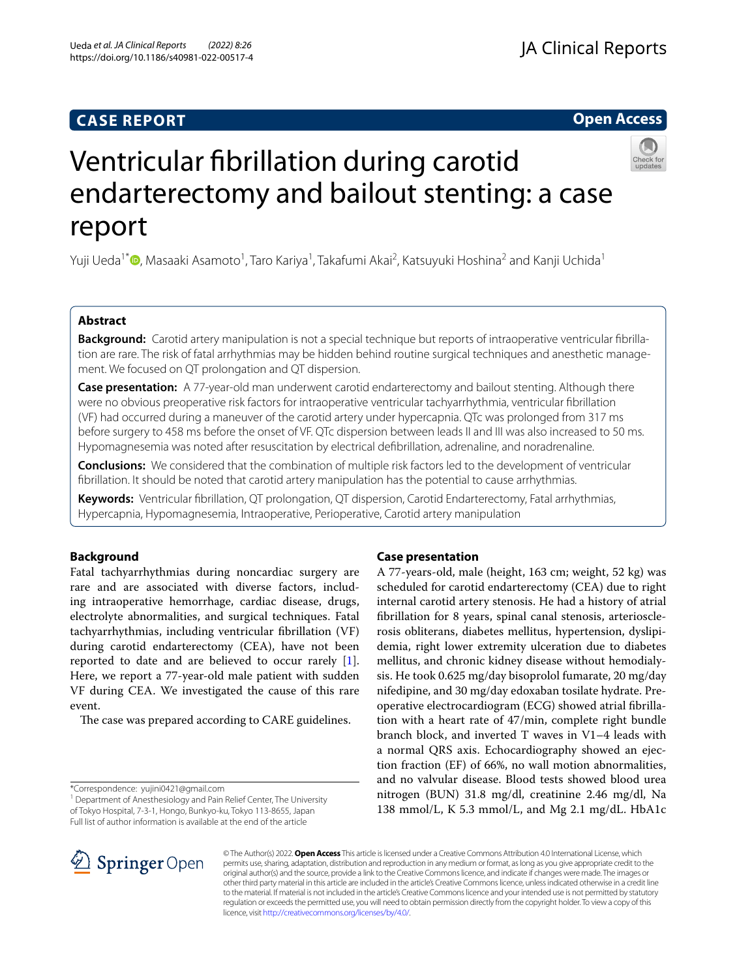# **CASE REPORT**

# **Open Access**



# Ventricular fbrillation during carotid endarterectomy and bailout stenting: a case report

Yuji Ueda<sup>1[\\*](http://orcid.org/0000-0001-6441-5529)</sup>®, Masaaki Asamoto<sup>1</sup>, Taro Kariya<sup>1</sup>, Takafumi Akai<sup>2</sup>, Katsuyuki Hoshina<sup>2</sup> and Kanji Uchida<sup>1</sup>

# **Abstract**

**Background:** Carotid artery manipulation is not a special technique but reports of intraoperative ventricular fbrillation are rare. The risk of fatal arrhythmias may be hidden behind routine surgical techniques and anesthetic management. We focused on QT prolongation and QT dispersion.

**Case presentation:** A 77-year-old man underwent carotid endarterectomy and bailout stenting. Although there were no obvious preoperative risk factors for intraoperative ventricular tachyarrhythmia, ventricular fbrillation (VF) had occurred during a maneuver of the carotid artery under hypercapnia. QTc was prolonged from 317 ms before surgery to 458 ms before the onset of VF. QTc dispersion between leads II and III was also increased to 50 ms. Hypomagnesemia was noted after resuscitation by electrical defbrillation, adrenaline, and noradrenaline.

**Conclusions:** We considered that the combination of multiple risk factors led to the development of ventricular fbrillation. It should be noted that carotid artery manipulation has the potential to cause arrhythmias.

**Keywords:** Ventricular fbrillation, QT prolongation, QT dispersion, Carotid Endarterectomy, Fatal arrhythmias, Hypercapnia, Hypomagnesemia, Intraoperative, Perioperative, Carotid artery manipulation

# **Background**

Fatal tachyarrhythmias during noncardiac surgery are rare and are associated with diverse factors, including intraoperative hemorrhage, cardiac disease, drugs, electrolyte abnormalities, and surgical techniques. Fatal tachyarrhythmias, including ventricular fbrillation (VF) during carotid endarterectomy (CEA), have not been reported to date and are believed to occur rarely [\[1](#page-3-0)]. Here, we report a 77-year-old male patient with sudden VF during CEA. We investigated the cause of this rare event.

The case was prepared according to CARE guidelines.

\*Correspondence: yujini0421@gmail.com

<sup>1</sup> Department of Anesthesiology and Pain Relief Center, The University of Tokyo Hospital, 7-3-1, Hongo, Bunkyo-ku, Tokyo 113-8655, Japan Full list of author information is available at the end of the article

# **Case presentation**

A 77-years-old, male (height, 163 cm; weight, 52 kg) was scheduled for carotid endarterectomy (CEA) due to right internal carotid artery stenosis. He had a history of atrial fbrillation for 8 years, spinal canal stenosis, arteriosclerosis obliterans, diabetes mellitus, hypertension, dyslipidemia, right lower extremity ulceration due to diabetes mellitus, and chronic kidney disease without hemodialysis. He took 0.625 mg/day bisoprolol fumarate, 20 mg/day nifedipine, and 30 mg/day edoxaban tosilate hydrate. Preoperative electrocardiogram (ECG) showed atrial fbrillation with a heart rate of 47/min, complete right bundle branch block, and inverted T waves in V1–4 leads with a normal QRS axis. Echocardiography showed an ejection fraction (EF) of 66%, no wall motion abnormalities, and no valvular disease. Blood tests showed blood urea nitrogen (BUN) 31.8 mg/dl, creatinine 2.46 mg/dl, Na 138 mmol/L, K 5.3 mmol/L, and Mg 2.1 mg/dL. HbA1c



© The Author(s) 2022. **Open Access** This article is licensed under a Creative Commons Attribution 4.0 International License, which permits use, sharing, adaptation, distribution and reproduction in any medium or format, as long as you give appropriate credit to the original author(s) and the source, provide a link to the Creative Commons licence, and indicate if changes were made. The images or other third party material in this article are included in the article's Creative Commons licence, unless indicated otherwise in a credit line to the material. If material is not included in the article's Creative Commons licence and your intended use is not permitted by statutory regulation or exceeds the permitted use, you will need to obtain permission directly from the copyright holder. To view a copy of this licence, visit [http://creativecommons.org/licenses/by/4.0/.](http://creativecommons.org/licenses/by/4.0/)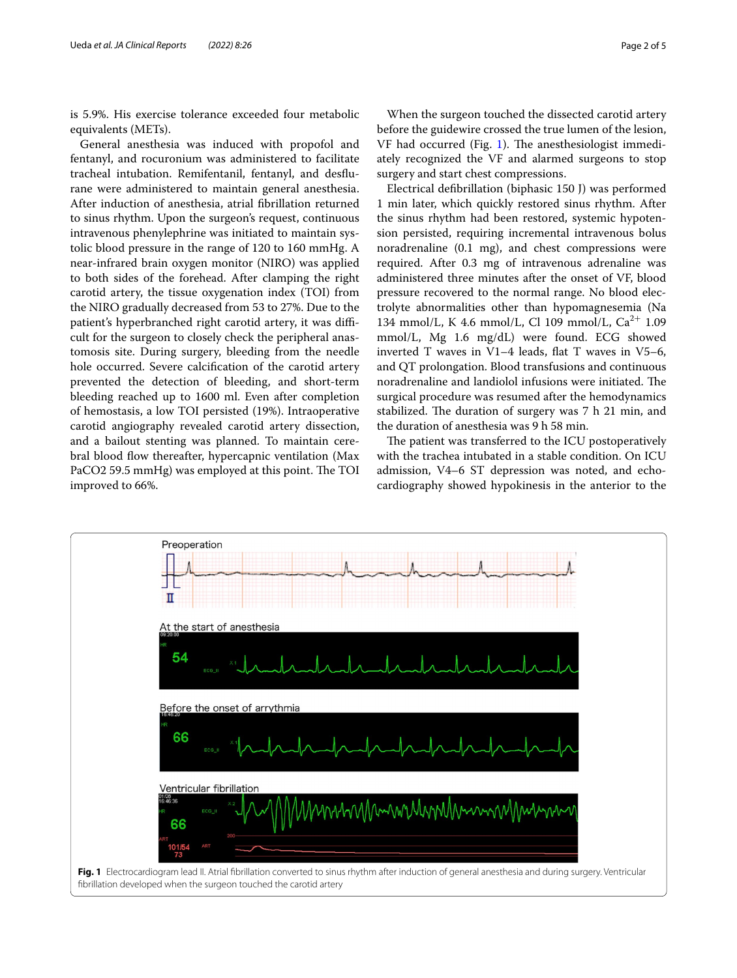is 5.9%. His exercise tolerance exceeded four metabolic equivalents (METs).

General anesthesia was induced with propofol and fentanyl, and rocuronium was administered to facilitate tracheal intubation. Remifentanil, fentanyl, and desfurane were administered to maintain general anesthesia. After induction of anesthesia, atrial fbrillation returned to sinus rhythm. Upon the surgeon's request, continuous intravenous phenylephrine was initiated to maintain systolic blood pressure in the range of 120 to 160 mmHg. A near-infrared brain oxygen monitor (NIRO) was applied to both sides of the forehead. After clamping the right carotid artery, the tissue oxygenation index (TOI) from the NIRO gradually decreased from 53 to 27%. Due to the patient's hyperbranched right carotid artery, it was difficult for the surgeon to closely check the peripheral anastomosis site. During surgery, bleeding from the needle hole occurred. Severe calcifcation of the carotid artery prevented the detection of bleeding, and short-term bleeding reached up to 1600 ml. Even after completion of hemostasis, a low TOI persisted (19%). Intraoperative carotid angiography revealed carotid artery dissection, and a bailout stenting was planned. To maintain cerebral blood fow thereafter, hypercapnic ventilation (Max PaCO2 59.5 mmHg) was employed at this point. The TOI improved to 66%.

When the surgeon touched the dissected carotid artery before the guidewire crossed the true lumen of the lesion,  $VF$  had occurred (Fig. [1](#page-1-0)). The anesthesiologist immediately recognized the VF and alarmed surgeons to stop surgery and start chest compressions.

Electrical defbrillation (biphasic 150 J) was performed 1 min later, which quickly restored sinus rhythm. After the sinus rhythm had been restored, systemic hypotension persisted, requiring incremental intravenous bolus noradrenaline (0.1 mg), and chest compressions were required. After 0.3 mg of intravenous adrenaline was administered three minutes after the onset of VF, blood pressure recovered to the normal range. No blood electrolyte abnormalities other than hypomagnesemia (Na 134 mmol/L, K 4.6 mmol/L, Cl 109 mmol/L, Ca<sup>2+</sup> 1.09 mmol/L, Mg 1.6 mg/dL) were found. ECG showed inverted T waves in  $V1-4$  leads, flat T waves in  $V5-6$ , and QT prolongation. Blood transfusions and continuous noradrenaline and landiolol infusions were initiated. The surgical procedure was resumed after the hemodynamics stabilized. The duration of surgery was 7 h 21 min, and the duration of anesthesia was 9 h 58 min.

The patient was transferred to the ICU postoperatively with the trachea intubated in a stable condition. On ICU admission, V4–6 ST depression was noted, and echocardiography showed hypokinesis in the anterior to the

<span id="page-1-0"></span>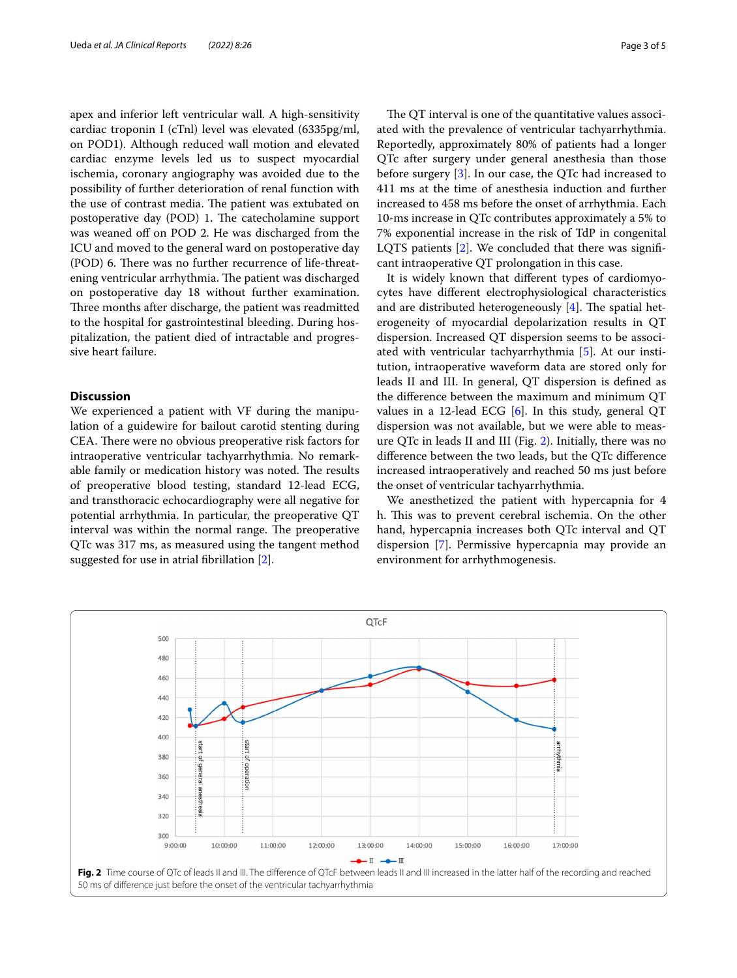apex and inferior left ventricular wall. A high-sensitivity cardiac troponin I (cTnl) level was elevated (6335pg/ml, on POD1). Although reduced wall motion and elevated cardiac enzyme levels led us to suspect myocardial ischemia, coronary angiography was avoided due to the possibility of further deterioration of renal function with the use of contrast media. The patient was extubated on postoperative day (POD) 1. The catecholamine support was weaned off on POD 2. He was discharged from the ICU and moved to the general ward on postoperative day (POD) 6. There was no further recurrence of life-threatening ventricular arrhythmia. The patient was discharged on postoperative day 18 without further examination. Three months after discharge, the patient was readmitted to the hospital for gastrointestinal bleeding. During hospitalization, the patient died of intractable and progressive heart failure.

## **Discussion**

We experienced a patient with VF during the manipulation of a guidewire for bailout carotid stenting during CEA. There were no obvious preoperative risk factors for intraoperative ventricular tachyarrhythmia. No remarkable family or medication history was noted. The results of preoperative blood testing, standard 12-lead ECG, and transthoracic echocardiography were all negative for potential arrhythmia. In particular, the preoperative QT interval was within the normal range. The preoperative QTc was 317 ms, as measured using the tangent method suggested for use in atrial fbrillation [\[2](#page-3-1)].

The QT interval is one of the quantitative values associated with the prevalence of ventricular tachyarrhythmia. Reportedly, approximately 80% of patients had a longer QTc after surgery under general anesthesia than those before surgery [[3\]](#page-3-2). In our case, the QTc had increased to 411 ms at the time of anesthesia induction and further increased to 458 ms before the onset of arrhythmia. Each 10-ms increase in QTc contributes approximately a 5% to 7% exponential increase in the risk of TdP in congenital LQTS patients [[2\]](#page-3-1). We concluded that there was signifcant intraoperative QT prolongation in this case.

It is widely known that diferent types of cardiomyocytes have diferent electrophysiological characteristics and are distributed heterogeneously  $[4]$  $[4]$ . The spatial heterogeneity of myocardial depolarization results in QT dispersion. Increased QT dispersion seems to be associated with ventricular tachyarrhythmia [\[5](#page-3-4)]. At our institution, intraoperative waveform data are stored only for leads II and III. In general, QT dispersion is defned as the diference between the maximum and minimum QT values in a 12-lead ECG [\[6](#page-3-5)]. In this study, general QT dispersion was not available, but we were able to measure QTc in leads II and III (Fig. [2\)](#page-2-0). Initially, there was no diference between the two leads, but the QTc diference increased intraoperatively and reached 50 ms just before the onset of ventricular tachyarrhythmia.

We anesthetized the patient with hypercapnia for 4 h. This was to prevent cerebral ischemia. On the other hand, hypercapnia increases both QTc interval and QT dispersion [[7\]](#page-4-0). Permissive hypercapnia may provide an environment for arrhythmogenesis.

<span id="page-2-0"></span>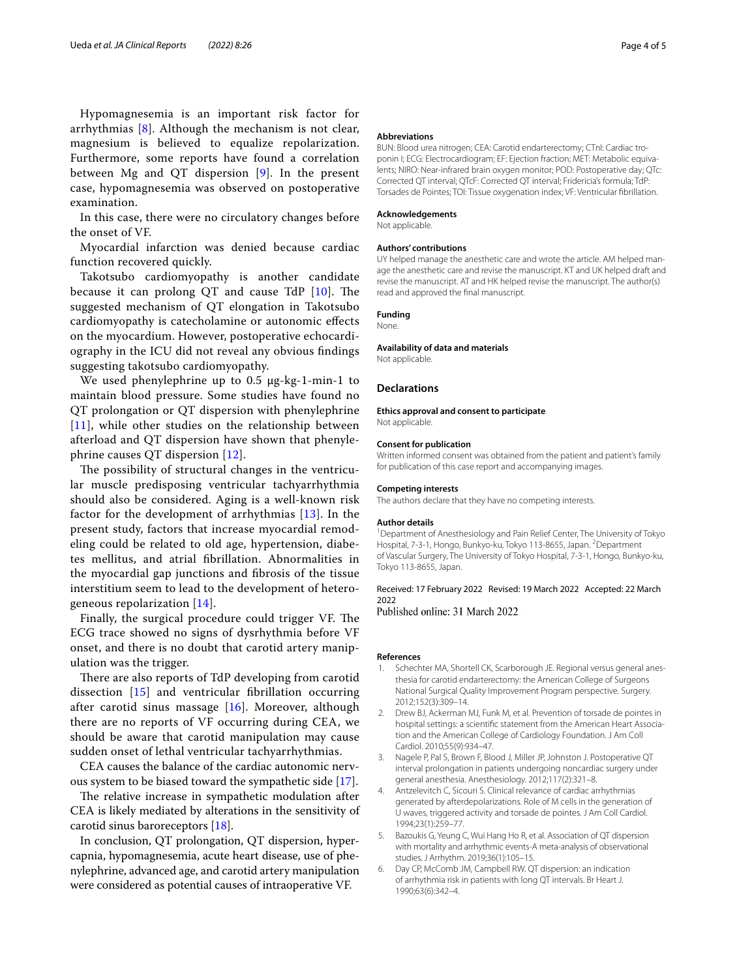Hypomagnesemia is an important risk factor for arrhythmias [[8\]](#page-4-1). Although the mechanism is not clear, magnesium is believed to equalize repolarization. Furthermore, some reports have found a correlation between Mg and QT dispersion [[9](#page-4-2)]. In the present case, hypomagnesemia was observed on postoperative examination.

In this case, there were no circulatory changes before the onset of VF.

Myocardial infarction was denied because cardiac function recovered quickly.

Takotsubo cardiomyopathy is another candidate because it can prolong  $QT$  and cause  $TdP$   $[10]$  $[10]$ . The suggested mechanism of QT elongation in Takotsubo cardiomyopathy is catecholamine or autonomic efects on the myocardium. However, postoperative echocardiography in the ICU did not reveal any obvious fndings suggesting takotsubo cardiomyopathy.

We used phenylephrine up to 0.5 μg-kg-1-min-1 to maintain blood pressure. Some studies have found no QT prolongation or QT dispersion with phenylephrine [[11](#page-4-4)], while other studies on the relationship between afterload and QT dispersion have shown that phenylephrine causes QT dispersion [[12](#page-4-5)].

The possibility of structural changes in the ventricular muscle predisposing ventricular tachyarrhythmia should also be considered. Aging is a well-known risk factor for the development of arrhythmias [[13\]](#page-4-6). In the present study, factors that increase myocardial remodeling could be related to old age, hypertension, diabetes mellitus, and atrial fbrillation. Abnormalities in the myocardial gap junctions and fbrosis of the tissue interstitium seem to lead to the development of heterogeneous repolarization [[14](#page-4-7)].

Finally, the surgical procedure could trigger VF. The ECG trace showed no signs of dysrhythmia before VF onset, and there is no doubt that carotid artery manipulation was the trigger.

There are also reports of TdP developing from carotid dissection [[15](#page-4-8)] and ventricular fbrillation occurring after carotid sinus massage [[16](#page-4-9)]. Moreover, although there are no reports of VF occurring during CEA, we should be aware that carotid manipulation may cause sudden onset of lethal ventricular tachyarrhythmias.

CEA causes the balance of the cardiac autonomic nervous system to be biased toward the sympathetic side [\[17](#page-4-10)].

The relative increase in sympathetic modulation after CEA is likely mediated by alterations in the sensitivity of carotid sinus baroreceptors [[18](#page-4-11)].

In conclusion, QT prolongation, QT dispersion, hypercapnia, hypomagnesemia, acute heart disease, use of phenylephrine, advanced age, and carotid artery manipulation were considered as potential causes of intraoperative VF.

#### **Abbreviations**

BUN: Blood urea nitrogen; CEA: Carotid endarterectomy; CTnI: Cardiac troponin I; ECG: Electrocardiogram; EF: Ejection fraction; MET: Metabolic equivalents; NIRO: Near-infrared brain oxygen monitor; POD: Postoperative day; QTc: Corrected QT interval; QTcF: Corrected QT interval; Fridericia's formula; TdP: Torsades de Pointes; TOI: Tissue oxygenation index; VF: Ventricular fbrillation.

#### **Acknowledgements**

Not applicable.

## **Authors' contributions**

UY helped manage the anesthetic care and wrote the article. AM helped manage the anesthetic care and revise the manuscript. KT and UK helped draft and revise the manuscript. AT and HK helped revise the manuscript. The author(s) read and approved the fnal manuscript.

## **Funding**

**None** 

# **Availability of data and materials**

Not applicable.

#### **Declarations**

**Ethics approval and consent to participate** Not applicable.

### **Consent for publication**

Written informed consent was obtained from the patient and patient's family for publication of this case report and accompanying images.

## **Competing interests**

The authors declare that they have no competing interests.

#### **Author details**

<sup>1</sup> Department of Anesthesiology and Pain Relief Center, The University of Tokyo Hospital, 7-3-1, Hongo, Bunkyo-ku, Tokyo 113-8655, Japan. <sup>2</sup>Department of Vascular Surgery, The University of Tokyo Hospital, 7-3-1, Hongo, Bunkyo-ku, Tokyo 113-8655, Japan.

# Received: 17 February 2022 Revised: 19 March 2022 Accepted: 22 March 2022<br>Published online: 31 March 2022

#### **References**

- <span id="page-3-0"></span>1. Schechter MA, Shortell CK, Scarborough JE. Regional versus general anesthesia for carotid endarterectomy: the American College of Surgeons National Surgical Quality Improvement Program perspective. Surgery. 2012;152(3):309–14.
- <span id="page-3-1"></span>2. Drew BJ, Ackerman MJ, Funk M, et al. Prevention of torsade de pointes in hospital settings: a scientifc statement from the American Heart Association and the American College of Cardiology Foundation. J Am Coll Cardiol. 2010;55(9):934–47.
- <span id="page-3-2"></span>3. Nagele P, Pal S, Brown F, Blood J, Miller JP, Johnston J. Postoperative QT interval prolongation in patients undergoing noncardiac surgery under general anesthesia. Anesthesiology. 2012;117(2):321–8.
- <span id="page-3-3"></span>4. Antzelevitch C, Sicouri S. Clinical relevance of cardiac arrhythmias generated by afterdepolarizations. Role of M cells in the generation of U waves, triggered activity and torsade de pointes. J Am Coll Cardiol. 1994;23(1):259–77.
- <span id="page-3-4"></span>5. Bazoukis G, Yeung C, Wui Hang Ho R, et al. Association of QT dispersion with mortality and arrhythmic events-A meta-analysis of observational studies. J Arrhythm. 2019;36(1):105–15.
- <span id="page-3-5"></span>6. Day CP, McComb JM, Campbell RW. QT dispersion: an indication of arrhythmia risk in patients with long QT intervals. Br Heart J. 1990;63(6):342–4.